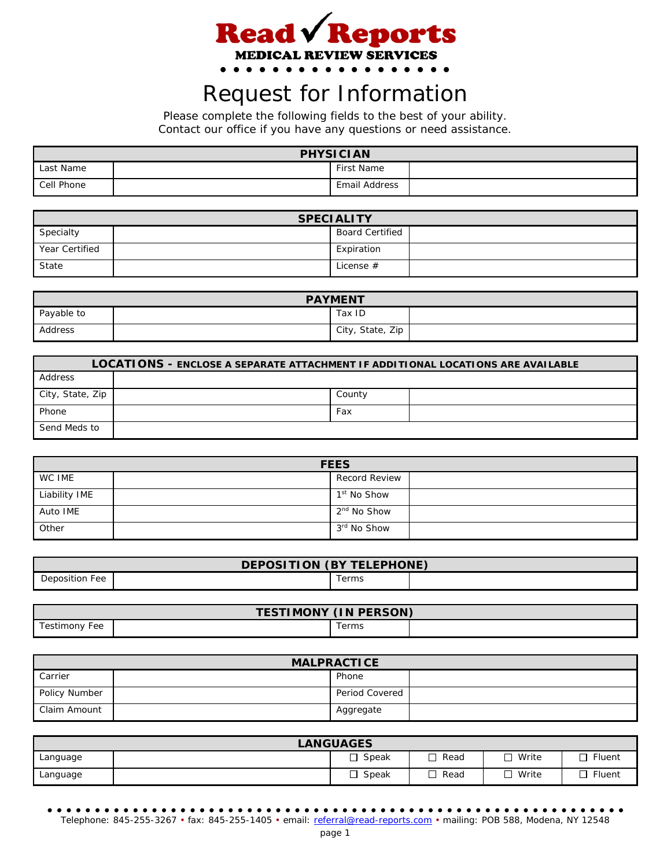

## Request for Information

Please complete the following fields to the best of your ability. Contact our office if you have any questions or need assistance.

| <b>PHYSICIAN</b> |  |               |  |
|------------------|--|---------------|--|
| Last Name        |  | First Name    |  |
| Cell Phone       |  | Email Address |  |

| <b>SPECIALITY</b> |  |                        |  |
|-------------------|--|------------------------|--|
| Specialty         |  | <b>Board Certified</b> |  |
| Year Certified    |  | Expiration             |  |
| State             |  | License $#$            |  |

| <b>PAYMENT</b> |  |                  |  |
|----------------|--|------------------|--|
| Payable to     |  | Tax ID           |  |
| Address        |  | City, State, Zip |  |

| <b>LOCATIONS - ENCLOSE A SEPARATE ATTACHMENT IF ADDITIONAL LOCATIONS ARE AVAILABLE</b> |  |        |  |
|----------------------------------------------------------------------------------------|--|--------|--|
| Address                                                                                |  |        |  |
| City, State, Zip                                                                       |  | County |  |
| Phone                                                                                  |  | Fax    |  |
| Send Meds to                                                                           |  |        |  |

| <b>FEES</b>   |  |                         |  |
|---------------|--|-------------------------|--|
| WC IME        |  | <b>Record Review</b>    |  |
| Liability IME |  | 1 <sup>st</sup> No Show |  |
| Auto IME      |  | 2 <sup>nd</sup> No Show |  |
| Other         |  | 3 <sup>rd</sup> No Show |  |

| <b>DEPOSITION (BY TELEPHONE)</b> |  |       |  |
|----------------------------------|--|-------|--|
| Deposition Fee                   |  | Terms |  |

|                  | <b>TESTIMONY (IN PERSON)</b> |       |  |
|------------------|------------------------------|-------|--|
| Testimony<br>Fee |                              | Terms |  |

| <b>MALPRACTICE</b> |  |                |  |
|--------------------|--|----------------|--|
| Carrier            |  | Phone          |  |
| Policy Number      |  | Period Covered |  |
| Claim Amount       |  | Aggregate      |  |

| <b>LANGUAGES</b> |  |       |      |       |        |
|------------------|--|-------|------|-------|--------|
| Language         |  | Speak | Read | Write | Fluent |
| Language         |  | Speak | Read | Write | Fluent |

*• • • • • • • • • • • • • • • • • • • • • • • • • • • • • • • • • • • • • • • • • • • • • • • • • • • • • • • • • • • • •* Telephone: 845-255-3267 • fax: 845-255-1405 • email: [referral@read-reports.com](mailto:referral@read-reports.com) • mailing: POB 588, Modena, NY 12548